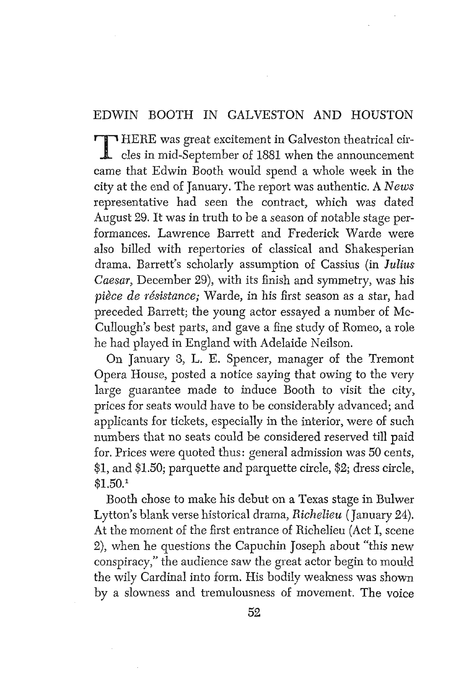#### EDWIN BOOTH IN GALVESTON AND HOUSTON

T HERE was great excitement in Galveston theatrical cir-<br>cles in mid-September of 1881 when the announcement came that Edwin Booth would spend a whole week in the city at the end of January. The report was authentic. A *News*  representative had seen the contract, which was dated August 29. It was in truth to be a season of notable stage performances. Lawrence Barrett and Frederick Warde were also billed with repertories of classical and Shakesperian drama. Barrett's scholarly assumption of Cassius (in *Julius*  Caesar, December 29), with its finish and symmetry, was his pièce de résistance; Warde, in his first season as a star, had preceded Barrett; the young actor essayed a number of Mc-Cullough's best parts, and gave a fine study of Romeo, a role he had played in England with Adelaide Neilson.

On January **3,** L. E. Spencer, manager of the Tremont Opera House, posted a notice saying that owing to the very large guarantee made to induce Booth to visit the city, prices for seats would have to be considerably advanced; and applicants for tickets, especially in the interior, were of such numbers that no seats could be considered reserved till paid for. Prices were quoted thus: general admission was 50 cents, \$1, and \$1.50; parquette and parquette circle, **\$2;** dress circle, **\$l.SO.l** 

Booth chose to make his debut on a Texas stage in Bulwer Lytton's blank verse historical drama, *Richelieu* (January 24). At the moment of the first entrance of Richelieu (Act I, scene Z), when he questions the Capuchin Joseph about "this new conspiracy," the audience saw the great actor begin to mould the wily Cardinal into form. His bodily weakness was shown by a slowness and tremulousness of movement, The voice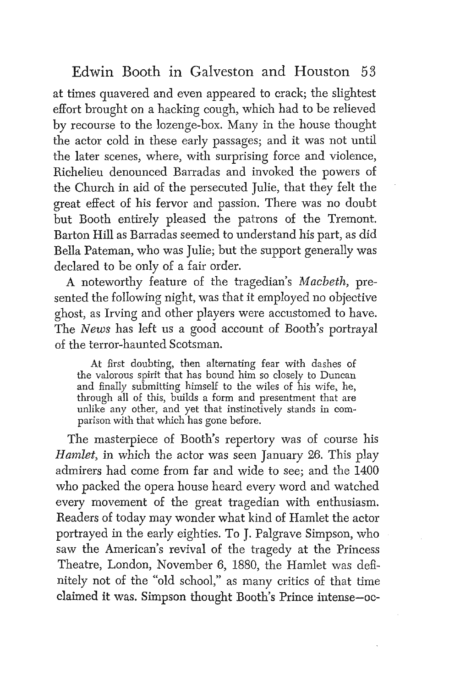at times quavered and even appeared to crack; the slightest effort brought on a hacking cough, which had to be relieved by recourse to the lozenge-box. Many in the house thought the actor cold in these early passages; and it was not until the later scenes, where, with surprising force and violence, Richelieu denounced Barradas and invoked the powers of the Church in aid of the persecuted Julie, that they felt the great effect of his fervor and passion. There was no doubt but Booth entirely pleased the patrons of the Tremont. Barton Hill as Barradas seemed to understand his part, as did BelIa Pateman, who was Julie; but the support generally was declared to be only of a fair order.

**A** noteworthy feature of the tragedian's *Macbeth,* presented the following night, was that it employed no objective ghost, as Irving and other players were accustomed to have. The *News* has Ieft us a good account of Booth's portrayal of the terror-haunted Scotsman.

At first doubting, then aItemating fear with dashes of the valorous spirit that has bound him so closely to Duncan and finally submitting himself to the wiles of his wife, he, through all of this, builds a form and presentment that are unlike any other, and yet that instinctively stands in comparison with that which has gone before.

The masterpiece of Booth's repertory was of course his *Hamlet,* in which the actor was seen January **26.** This play admirers had come from far and wide to see; and the 1400 who packed the opera house heard every word and watched every movement of the great tragedian with enthusiasm. Readers of today may wonder what kind of Hamlet the actor portrayed in the early eighties. To J. Palgrave Simpson, who saw the American's revival of the tragedy at the Princess Theatre, London, November 6, 1880, the Hamlet was definitely not of the 'bld school," as many critics of that time claimed it was. Simpson thought Booth's Prince intense-oc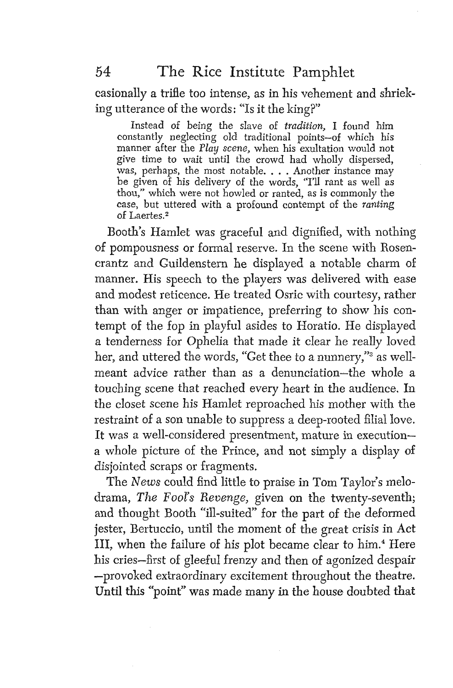casionally a trifie too intense, as in his vehement and shrieking utterance of the words: "Is it the king?"

Instead of being the slave of *tradition*, I found him constantly neglecting old traditional points-of which his manner after the Play *scene,* when his exultation would not give time to wait until the crowd had wholly dispersed, was, perhaps, the most notable. . . . Another instance may be given of his delivery of the words, "I'll rant as well as thou," which were not howled or ranted, as is commonly the case, but uttered with a profound contempt of the **ranting**  of Laertes.2

Booth's Hamlet was graceful and dignified, with nothing of pompousness or formal reserve. In the scene with Rosencrantz and Guildenstern he displayed a notable charm of manner. His speech to the players was delivered with ease and modest reticence. He treated Osric with courtesy, rather than with anger or impatience, preferring to show his contempt of the fop in playful asides to Horatio. He displayed a tenderness for Ophelia that made it clear he really loved her, and uttered the words, "Get thee to a nunnery," as wellmeant advice rather than as a denunciation-the whole a touching scene that reached every heart in the audience. In the closet scene his Hamlet reproached his mother with the restraint of a son unable to suppress a deep-rooted filial love. It was a well-considered presentment, mature in executiona whole picture of the Prince, and not simply a display of disjointed scraps or fragments.

The *News* could find little to praise in Tom Taylor's melodrama, The *FooZ's Reuenge,* given on the twenty-seventh; and thought Booth "ill-suited" for the part of the deformed jester, Bertuccio, until the moment of the great crisis in Act 111, when the failure of his plot became clear to him.4 Here his cries-first of gleeful frenzy and then of agonized despair -provoked extraordinary excitement throughout the theatre. Until this "point" **was** made many in the house doubted that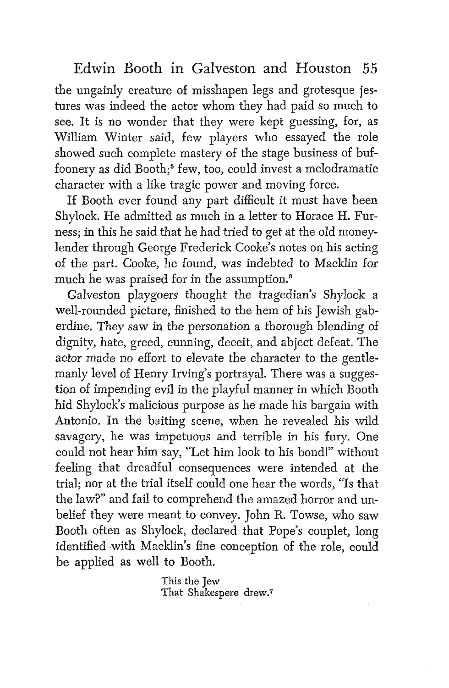the ungainly creature of misshapen legs and grotesque jestures was indeed the actor whom they had paid so much to see. It is no wonder that they were kept guessing, for, as William Winter said, few players who essayed the role showed such complete mastery of the stage business of buffoonery as did Booth;<sup>6</sup> few, too, could invest a melodramatic character with a like tragic power and moving force.

If Booth ever found any part difficult it must have been Shylock. He admitted as much in a letter to Horace H. Furness; in this he said that he had tried to get at the old moneylender through George Frederick Cooke's notes on his acting of the part. Cooke, he found, was indebted to Macklin for much he was praised for in the assumption.<sup>6</sup>

Galveston playgoers thought the tragedian's Shylock a well-rounded picture, finished to the hem of his Jewish gaberdine. They saw in the personation a thorough blending of dignity, hate, greed, cunning, deceit, and abject defeat. The actor made no effort to elevate the character to the gentlemanly level of Henry Irving's portrayal. There was a suggestion of impending evil in the playful manner in which Booth hid Shylock's malicious purpose as he made his bargain with Antonio. In the baiting scene, when he revealed his wild savagery, he was impetuous and terrible in his fury. One could not hear him say, "Let him look to his bondl" without feeling that dreadful consequences were intended at the trial; nor at the trial itself could one hear the words, "Is that the law?" and fail to comprehend the amazed horror and unbelief they were meant to convey, John R. Towse, who saw Booth often as Shylock, declared that Pope's couplet, long identified with Macklin's fine conception of the role, could be applied as well to Booth.

> **This** the Jew That **Shakespere drew.7**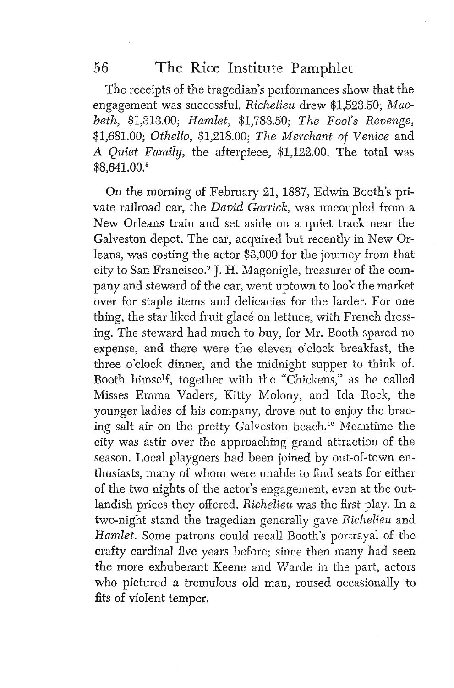The receipts of the tragedian's performances show that the engagement was successful. Richelieu drew \$1,523.50; Macbeth, \$1,313.00; Hamlet, \$1,783.50; The Fool's Revenge, \$1,681.00; Othello, \$1,218.00; The Merchant of Venice and A Quiet Family, the afterpiece, \$1,122.00. The total was \$8,641.00."

On the morning of February 21,1887, Edwin Booth's private railroad car, the David Garrick, was uncoupled from a New Orleans train and set aside on a quiet track near the Galveston depot. The car, acquired but recently in New 0rleans, was costing the actor \$3,000 for the journey from that city to San Francisco.<sup>9</sup> J. H. Magonigle, treasurer of the company and steward of the car, went uptown to look the market over for staple items and delicacies for the larder. For one thing, the star liked fruit glace on lettuce, with French dressing. The steward had much to buy, for Mr. Booth spared no expense, and there were the eleven o'clock breakfast, the three o'clock dinner, and the midnight supper to think of. Booth himself, together with the "Chickens," as he caIled Misses Emma Vaders, Kitty Molony, and Ida Bock, the younger ladies of his company, drove out to enjoy the bracing salt air on the pretty Galveston beach.'' Meantime the city was astir over the approaching grand attraction of the season. Local playgoers had been joined by out-of-town enthusiasts, many of whom were unable to find seats for either of the two nights of the actor's engagement, even at the outlandish prices they offered. Richelieu was the first play. In a two-night stand the tragedian generally gave Richelieu and Hamlet. Some patrons could recall Booth's portrayal of the crafty cardinal five years before; since then many had seen the more exhuberant Keene and Warde in the part, actors who pictured a tremulous old man, roused occasionally to fits of violent temper.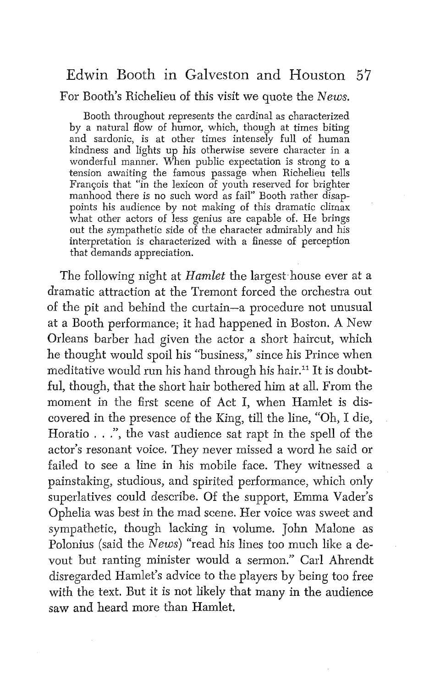#### For Booth's Richelieu of this visit we quote the *News.*

Booth throughout represents the cardinal as characterized by a natural flow of humor, which, though at times biting and sardonic, is at other times intensely full of human kindness and lights up his otherwise severe character in a wonderful manner, When public expectation is strong to a tension awaiting the famous passage when Richelieu tells François that "in the lexicon of youth reserved for brighter manhood there is no such word as fail"' Booth rather disappoints his audience by not making of this dramatic climax what other actors of less genius are capable of. He brings out the sympathetic side of the character admirably and his interpretation is characterized with a finesse of perception that demands appreciation.

The following night at *Hamlet* the largest house ever at a dramatic attraction at the Tremont forced the orchestra out of the pit and behind the curtain-a procedure not unusual at a Booth performance; it had happened in Boston. A New Orleans barber had given the actor a short haircut, which he thought would spoil his "business," since his Prince when meditative would run his hand through his hair." It is doubtful, though, that the short hair bothered him at all. From the moment in the first scene of Act I, when Hamlet is discovered in the presence of the King, till the line, "Oh, I die, Horatio . . ."', the vast audience sat rapt in the spell of the actor's resonant voice. They never missed a word he said or failed to see a line in his mobile face. They witnessed a painstaking, studious, and spirited performance, which only superlatives could describe. Of the support, Emma Vader's Ophelia was best in the mad scene. Her voice was sweet and sympathetic, though lacking in vollume. John Malone as Polonius (said the *News)* "read his lines too much like a devout but ranting minister would a sermon." Carl Ahrendt disregarded Hamlet's advice to the players by being too free with the text. But it is not likeIy that many in the audience saw and heard more than Hamlet.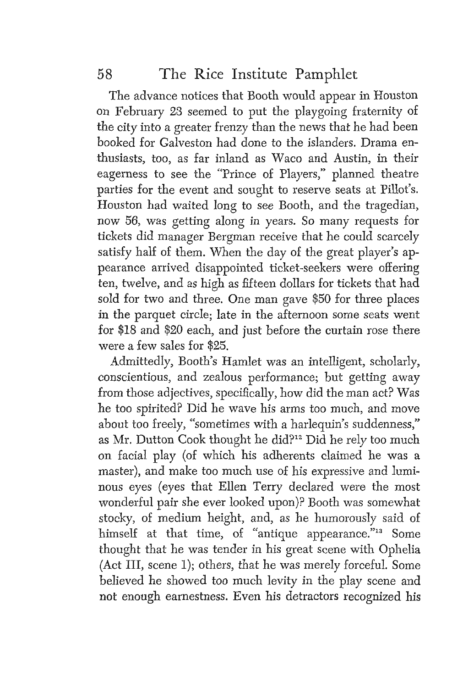The advance notices that Booth would appear in Houston on February **23** seemed to put the playgoing fraternity of the city into a greater frenzy than the news that he had been booked for Galveston had done to the islanders. Drama enthusiasts, too, as far inland as Waco and Austin, in their eagerness to see the "Prince of Players," planned theatre parties for the event and sought to reserve seats at Pillot's. Houston had waited long to see Booth, and the tragedian, now 56, was getting along in years. So many requests for tickets did manager Bergman receive that he could scarcely satisfy half of them. When the day of the great player's appearance arrived disappointed ticket-seekers were offering ten, twelve, and as high as fifteen dollars for tickets that had sold for two and three. One man gave \$50 for three places in the parquet circle; late in the afternoon some seats went for \$18 and \$20 each, and just before the curtain rose there were a few sales for \$25.

Admittedly, Booth's Hamlet was an intelligent, scholarly, conscientious, and zealous perfomance; but getting away from those adjectives, specifically, how did the man act? Was he too spirited? Did he wave his arms too much, and move about too freely, "sometimes with a harlequin's suddenness," as Mr. Dutton Cook thought he did?<sup>12</sup> Did he rely too much on facial play (of which his adherents claimed he was a master), and make too much use of his expressive and luminous eyes (eyes that Ellen Terry declared were the most wonderful pair she ever looked upon)? Booth was somewhat stocky, of medium height, and, as he humorously said of himself at that time, of "antique appearance."<sup>13</sup> Some thought that he was tender in his great scene with Ophelia (Act 111, scene 1); others, that he was merely forceful. Some believed he showed too much levity in the play scene and not enough earnestness. Even his detractors recognized his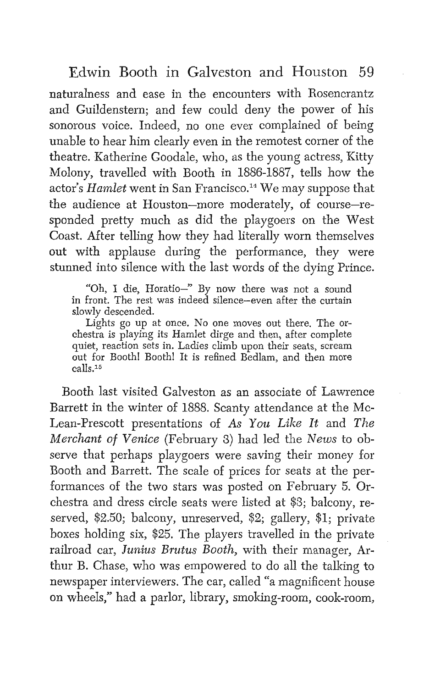naturalness and ease in the encounters with Rosencrantz and Guildenstern; and few could deny the power of his sonorous voice. Indeed, no one ever complained of being unable to hear him clearly even in the remotest corner of the theatre. Katherine Goodale, who, as the young actress, Kitty Molony, travelled with Booth in 1886-1887, tells how the actor's *Hamlet* went in San Francisco.<sup>14</sup> We may suppose that the audience at Houston-more moderately, of course-responded pretty much as did the playgoers on the West Coast. After telling how they had literally worn themselves out with applause during the performance, they were stunned into silence with the last words of the dying Prince.

"Oh, I die, Horatio-" By now there was not a sound in front. The rest was indeed silence-even after the curtain slowly descended.

Lights go up at once. No one moves out there. The orchestra is playing its Hamlet dirge and then, after complete quiet, reaction sets in. Ladies climb upon their seats, scream out for Booth! Booth! It is refined Bedlam, and then more calls.<sup>15</sup>

Booth last visited Galveston as an associate of Lawrence Barrett in the winter of 1888. Scanty attendance at the Mc-Lean-Prescott presentations of As You Like It and The *Merchant* of *Venice* (February 3) had led the *News* to observe that perhaps playgoers were saving their money for Booth and Barrett. The scale of prices for seats at the performances of the two stars was posted on February 5. Orchestra and dress circle seats were listed at \$3; balcony, reserved, *\$2.50;* balcony, unreserved, *\$2;* gallery, \$1; private boxes holding six, \$25. The players travelIed in the private railroad car, Junius Brutus Booth, with their manager, Arthur B. Chase, who was empowered to do all the talking to newspaper interviewers. The car, called "a magnificent house on wheels," had a parlor, library, smoking-room, cook-room,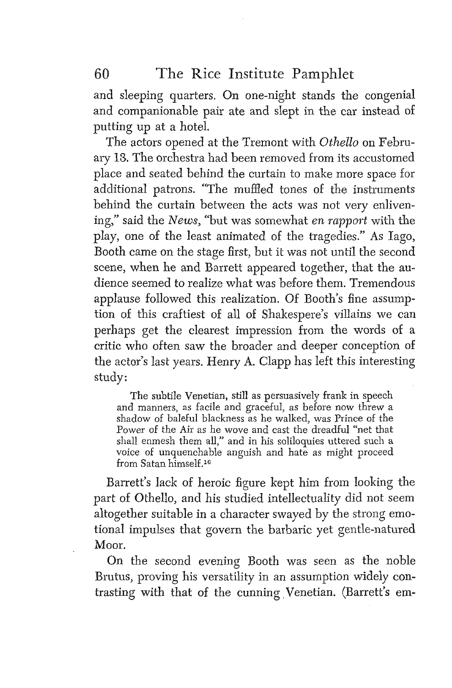and sleeping quarters. On one-night stands the congenial and companionable pair ate and slept in the car instead of putting up at a hotel.

The actors opened at the Tremont with *Othello* on February 13. The orchestra had been removed from its accustomed place and seated behind the curtain to make more space for additional patrons. "The muffled tones of the instruments behind the curtain between the acts was not very enlivening," said the *News,* "but was somewhat en *rapport* with the play, one of the least animated of the tragedies." As Iago, Booth came on the stage first, but it was not until the second scene, when he and Barrett appeared together, that the audience seemed to realize what was before them. Tremendous applause followed this realization. Of Booth's fine assumption of this craftiest of all of Shakespere's villains we can perhaps get the clearest impression from the words of a critic who often saw the broader and deeper conception of the actor's last years. Henry **A.** Clapp has left this interesting study:

The subtile Venetian, still as persuasively frank in speech and manners, as facile and graceful, as before now threw a shadow of baleful blackness as he walked, was Prince of the Power of the Air as he wove and cast the dreadful "net that shall enmesh them all," and in his soliloquies uttered such a voice of unquenchable anguish and hate as might poceed from Satan himself.<sup>16</sup>

Barrett's lack of heroic figure kept him from looking the part of Othello, and his studied intellectuality did not seem altogether suitable in a character swayed by the strong emotional impulses that govern the barbaric yet gentle-natured Moor.

On the second evening Booth was seen as the noble Brutus, proving his versatility in an assumption widely contrasting with that of the cunning Venetian. (Barrett's em-

60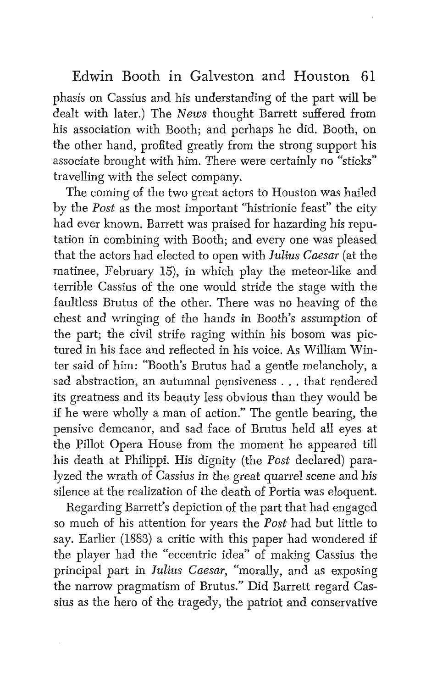phasis on Cassius and his understanding of the part will be dealt with later.) The *News* thought Barrett suffered from his association with Booth; and perhaps he did. Booth, on the other hand, profited greatly from the strong support his associate brought with him. There were certainly no "sticks" travelling with the select company.

The coming of the two great actors to Houston was hailed by the *Post* as the most important "histrionic feast" the city had ever known. Barrett was praised for hazarding his reputation in combining with Booth; and every one was pleased that the actors had elected to open with *Julius Caesar* (at the matinee, February 15), in which play the meteor-like and terrible Cassius of the one would stride the stage with the faultless Brutus of the other. There was no heaving of the chest and wringing of the hands in Booth's assumption of the part; the civil strife raging within his bosom was pictured in his face and reflected in his voice. As William Winter said of him: "Booth's Brutus had a gentle melancholy, a sad abstraction, an autumnal pensiveness . . . that rendered its greatness and its beauty less obvious than they would be if he were wholly a man of action." The gentle bearing, the pensive demeanor, and sad face of Brutus heId a11 eyes at the Pillot Opera House from the moment he appeared till his death at Philippi. His dignity (the *Post* declared) paralyzed the wrath of Cassius in the great quarrel scene and his silence at the realization of the death of Portia was eloquent.

Regarding Barrett's depiction of the part that had engaged so much of his attention for years the *Post* had but little to say. Earlier (1883) a critic with this paper had wondered if the player had the "eccentric idea" of making Cassius the principal part in *Julius Caesar,* "morally, and as exposing the narrow pragmatism of Brutus." Did Barrett regard Cassius as the hero of the tragedy, the patriot and conservative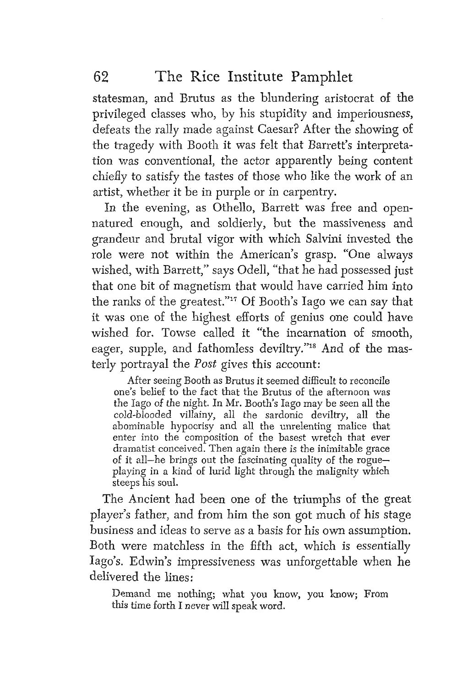statesman, and Brutus as the blundering aristocrat of the privileged classes who, by his stupidity and imperiousness, defeats the rally made against Caesar? After the showing of the tragedy with Booth it was felt that Barrett's interpretation was conventional, the actor apparently being content chiefly to satisfy the tastes of those who like the work of an artist, whether it be in purple or in carpentry.

In the evening, as Othello, Barrett was free and opennatured enough, and soldierly, but the massiveness and grandeur and brutal vigor with which Salvini invested the role were not within the American's grasp. "One always wished, with Barrett," says Odell, "that he had possessed just that one bit of magnetism that would have carried him into the ranks of the greatest."" Of Booth's Iago we can say that it was one of the highest efforts of genius one could have wished for, Towse called it "the incarnation of smooth, eager, supple, and fathomless deviltry."<sup>18</sup> And of the masterly portrayal the Post gives this account:

After seeing Booth as Brutus it seemed difficult to reconcile one's belief to the fact that the Brutus of the afternoon was the Iago of the night. In Mr. Booth's Iago may be seen all the cold-blooded villainy, all the sardonic deviltry, all the abominable hypocrisy and all the unrelenting malice that enter into the composition of the basest wretch that ever dramatist conceived. Then again there is the inimitable grace of it aII-he brings out the fascinating quality of the rogueplaying in a kind of lurid light through the malignity which steeps his soul.

The Ancient had been one of the triumphs of the great player's father, and from him the son got much of his stage business and ideas to serve as a basis for his own assumption. Both were matchless in the fifth act, which is essentially Iago's. Edwin's impressiveness was unforgettable when he delivered the lines:

Demand me nothing; what you know, you know; From this time forth I never will speak word.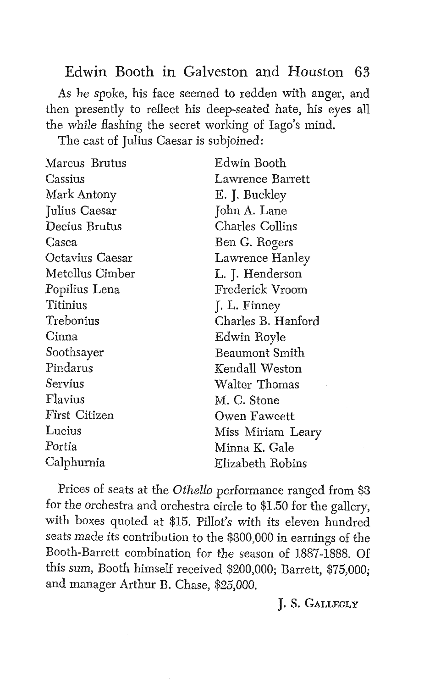As he spoke, his face seemed to redden with anger, and then presently to reflect his deep-seated hate, his eyes all the while flashing the secret working of Iago's mind.

The cast of Julius Caesar is subjoined:

| Edwin Booth        |
|--------------------|
| Lawrence Barrett   |
| E. J. Buckley      |
| John A. Lane       |
| Charles Collins    |
| Ben G. Rogers      |
| Lawrence Hanley    |
| L. J. Henderson    |
| Frederick Vroom    |
| J. L. Finney       |
| Charles B. Hanford |
| Edwin Royle        |
| Beaumont Smith     |
| Kendall Weston     |
| Walter Thomas      |
| M. C. Stone        |
| Owen Fawcett       |
| Miss Miriam Leary  |
| Minna K. Gale      |
| Elizabeth Robins   |
|                    |

Prices of seats at the *Othello* performance ranged from **\$3**  for the orchestra and orchestra circle to \$1.50 for the gallery, with boxes quoted at \$15. Pillot's with its eleven hundred seats made its contribution to the \$300,000 in earnings of the Booth-Barrett combination for the season of 1887-1888. Of this sum, Booth himself received \$200,000; Barrett, \$75,000; and manager Arthur B. Chase, \$25,000.

#### J. **S. GALLEGLY**